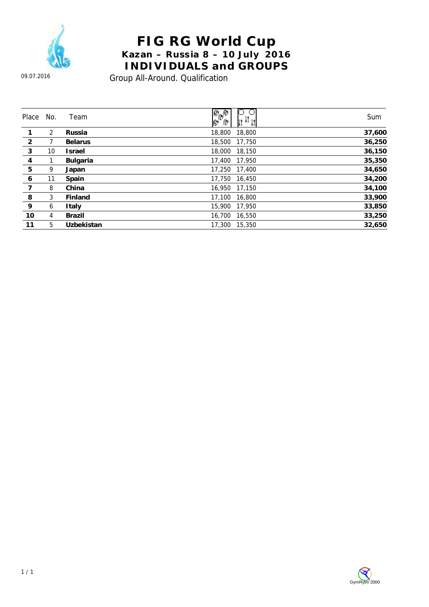

## **FIG RG World Cup Kazan – Russia 8 – 10 July 2016 INDIVIDUALS and GROUPS**

09.07.2016

Group All-Around. Qualification

| Place          | No. | Team              | О<br>e<br>Poro<br>$+11$ | Sum    |
|----------------|-----|-------------------|-------------------------|--------|
|                | 2   | <b>Russia</b>     | 18,800<br>18,800        | 37,600 |
| $\overline{2}$ |     | <b>Belarus</b>    | 18,500<br>17,750        | 36,250 |
| 3              | 10  | <b>Israel</b>     | 18,000<br>18,150        | 36,150 |
| 4              |     | <b>Bulgaria</b>   | 17,400<br>17,950        | 35,350 |
| $5\phantom{.}$ | 9   | Japan             | 17,250<br>17,400        | 34,650 |
| 6              | 11  | Spain             | 17.750<br>16,450        | 34,200 |
| $\overline{7}$ | 8   | China             | 16.950<br>17,150        | 34,100 |
| 8              | 3   | Finland           | 17.100<br>16,800        | 33,900 |
| 9              | 6   | Italy             | 15,900<br>17,950        | 33,850 |
| 10             | 4   | Brazil            | 16,700<br>16,550        | 33,250 |
| 11             | 5   | <b>Uzbekistan</b> | 17,300<br>15,350        | 32.650 |

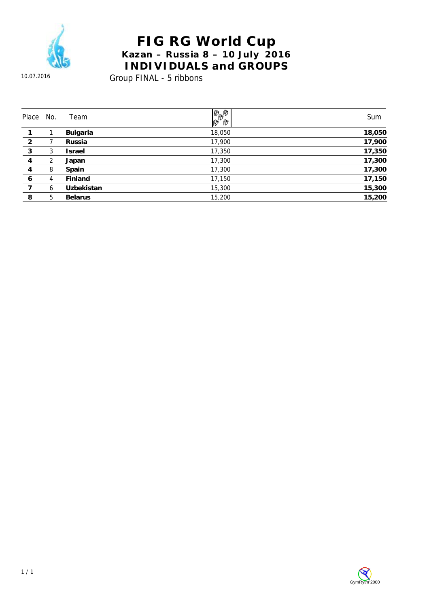

#### **FIG RG World Cup Kazan – Russia 8 – 10 July 2016 INDIVIDUALS and GROUPS**

10.07.2016

Group FINAL - 5 ribbons

| Place          | No. | Team            | $\frac{\partial \phi}{\partial \phi}$ | Sum    |
|----------------|-----|-----------------|---------------------------------------|--------|
|                |     | <b>Bulgaria</b> | 18,050                                | 18,050 |
| $\overline{2}$ |     | Russia          | 17,900                                | 17,900 |
| 3              | 3   | <b>Israel</b>   | 17,350                                | 17,350 |
| 4              | 2   | Japan           | 17,300                                | 17,300 |
| 4              | 8   | Spain           | 17,300                                | 17,300 |
| 6              | 4   | Finland         | 17,150                                | 17,150 |
|                | 6   | Uzbekistan      | 15,300                                | 15,300 |
| 8              | 5   | <b>Belarus</b>  | 15,200                                | 15,200 |

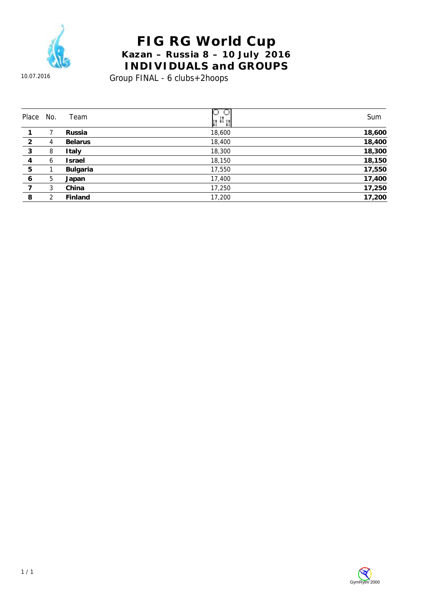

## **FIG RG World Cup Kazan – Russia 8 – 10 July 2016 INDIVIDUALS and GROUPS**

10.07.2016

Group FINAL - 6 clubs+2hoops

| Place           | No. | Team            | 11 +1 11 | Sum    |
|-----------------|-----|-----------------|----------|--------|
|                 |     | Russia          | 18,600   | 18,600 |
| $\overline{2}$  | 4   | <b>Belarus</b>  | 18,400   | 18,400 |
| 3               | 8   | Italy           | 18,300   | 18,300 |
| 4               | 6   | Israel          | 18,150   | 18,150 |
| $5\phantom{.0}$ |     | <b>Bulgaria</b> | 17,550   | 17,550 |
| 6               | 5   | Japan           | 17,400   | 17,400 |
|                 | 3   | China           | 17,250   | 17,250 |
| 8               | 2   | Finland         | 17,200   | 17,200 |

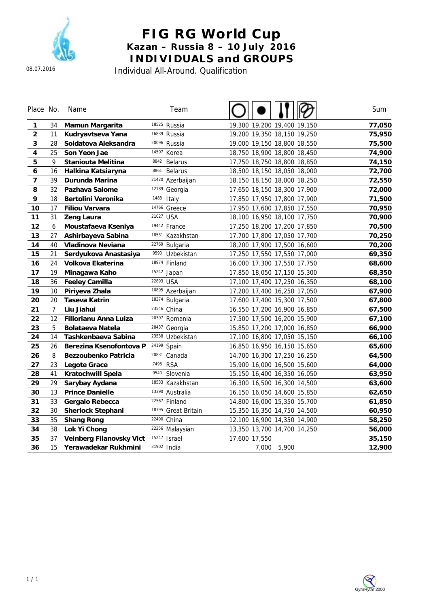

#### **FIG RG World Cup Kazan – Russia 8 – 10 July 2016 INDIVIDUALS and GROUPS**

Individual All-Around. Qualification

| Place No.      |                | Name                     | Team                          |                             | Sum    |
|----------------|----------------|--------------------------|-------------------------------|-----------------------------|--------|
| 1              | 34             | Mamun Margarita          | 18525 Russia                  | 19,300 19,200 19,400 19,150 | 77,050 |
| $\overline{2}$ | 11             | Kudryavtseva Yana        | 16839 Russia                  | 19,200 19,350 18,150 19,250 | 75,950 |
| 3              | 28             | Soldatova Aleksandra     | 20096 Russia                  | 19,000 19,150 18,800 18,550 | 75,500 |
| 4              | 25             | Son Yeon Jae             | 14507<br>Korea                | 18,750 18,900 18,800 18,450 | 74,900 |
| 5              | 9              | Staniouta Melitina       | 8842<br><b>Belarus</b>        | 17,750 18,750 18,800 18,850 | 74,150 |
| 6              | 16             | Halkina Katsiaryna       | 8861<br><b>Belarus</b>        | 18,500 18,150 18,050 18,000 | 72,700 |
| $\overline{7}$ | 39             | Durunda Marina           | <sup>21420</sup> Azerbaijan   | 18,150 18,150 18,000 18,250 | 72,550 |
| 8              | 32             | Pazhava Salome           | 12189<br>Georgia              | 17,650 18,150 18,300 17,900 | 72,000 |
| 9              | 18             | Bertolini Veronika       | 1488<br>Italy                 | 17,850 17,950 17,800 17,900 | 71,500 |
| 10             | 17             | <b>Filiou Varvara</b>    | 14766 Greece                  | 17,950 17,600 17,850 17,550 | 70,950 |
| 11             | 31             | <b>Zeng Laura</b>        | 21027<br><b>USA</b>           | 18,100 16,950 18,100 17,750 | 70,900 |
| 12             | 6              | Moustafaeva Kseniya      | 19442 France                  | 17,250 18,200 17,200 17,850 | 70,500 |
| 13             | 27             | Ashirbayeva Sabina       | 18531<br>Kazakhstan           | 17,700 17,800 17,050 17,700 | 70,250 |
| 14             | 40             | Vladinova Neviana        | 22769<br>Bulgaria             | 18,200 17,900 17,500 16,600 | 70,200 |
| 15             | 21             | Serdyukova Anastasiya    | 9590<br>Uzbekistan            | 17,250 17,550 17,550 17,000 | 69,350 |
| 16             | 24             | Volkova Ekaterina        | 18974<br>Finland              | 16,000 17,300 17,550 17,750 | 68,600 |
| 17             | 19             | Minagawa Kaho            | 15242<br>Japan                | 17,850 18,050 17,150 15,300 | 68,350 |
| 18             | 36             | <b>Feeley Camilla</b>    | 22893 USA                     | 17,100 17,400 17,250 16,350 | 68,100 |
| 19             | 10             | Piriyeva Zhala           | 10895 Azerbaijan              | 17,200 17,400 16,250 17,050 | 67,900 |
| 20             | 20             | <b>Taseva Katrin</b>     | 18374<br>Bulgaria             | 17,600 17,400 15,300 17,500 | 67,800 |
| 21             | $\overline{7}$ | Liu Jiahui               | 23546<br>China                | 16,550 17,200 16,900 16,850 | 67,500 |
| 22             | 12             | Filiorianu Anna Luiza    | 20307<br>Romania              | 17,500 17,500 16,200 15,900 | 67,100 |
| 23             | 5              | Bolataeva Natela         | 28437<br>Georgia              | 15,850 17,200 17,000 16,850 | 66,900 |
| 24             | 14             | Tashkenbaeva Sabina      | 23538<br>Uzbekistan           | 17,100 16,800 17,050 15,150 | 66,100 |
| 25             | 26             | Berezina Ksenofontova P  | 24199<br>Spain                | 16,850 16,950 16,150 15,650 | 65,600 |
| 26             | 8              | Bezzoubenko Patricia     | 20831<br>Canada               | 14,700 16,300 17,250 16,250 | 64,500 |
| 27             | 23             | Legote Grace             | 7496<br><b>RSA</b>            | 15,900 16,000 16,500 15,600 | 64,000 |
| 28             | 41             | Kratochwill Spela        | 9540<br>Slovenia              | 15,150 16,400 16,350 16,050 | 63,950 |
| 29             | 29             | Sarybay Aydana           | 18533 Kazakhstan              | 16,300 16,500 16,300 14,500 | 63,600 |
| 30             | 13             | <b>Prince Danielle</b>   | 13390 Australia               | 16,150 16,050 14,600 15,850 | 62,650 |
| 31             | 33             | Gergalo Rebecca          | 22567<br>Finland              | 14,800 16,000 15,350 15,700 | 61,850 |
| 32             | 30             | <b>Sherlock Stephani</b> | 18795<br><b>Great Britain</b> | 15,350 16,350 14,750 14,500 | 60,950 |
| 33             | 35             | <b>Shang Rong</b>        | 22490 China                   | 12,100 16,900 14,350 14,900 | 58,250 |
| 34             | 38             | Lok Yi Chong             | <sup>22256</sup> Malaysian    | 13,350 13,700 14,700 14,250 | 56,000 |
| 35             | 37             | Veinberg Filanovsky Vict | 15247<br><b>Israel</b>        | 17,600 17,550               | 35,150 |
| 36             | 15             | Yerawadekar Rukhmini     | 31902 India                   | 5,900<br>7,000              | 12,900 |

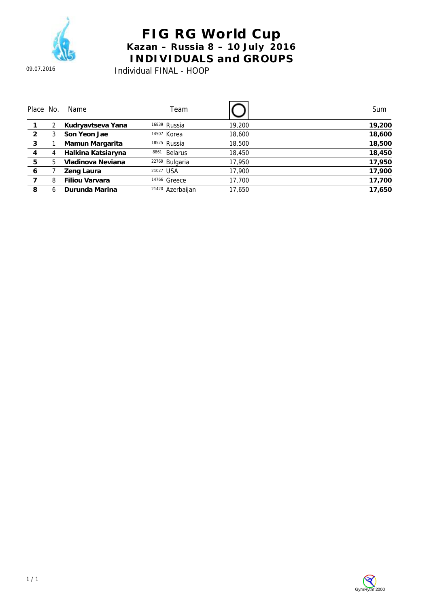

## **FIG RG World Cup Kazan – Russia 8 – 10 July 2016 INDIVIDUALS and GROUPS**

Individual FINAL - HOOP

| Place No.      |   | Name                  | Team                        |        | Sum    |
|----------------|---|-----------------------|-----------------------------|--------|--------|
|                |   | Kudryavtseva Yana     | <sup>16839</sup> Russia     | 19,200 | 19,200 |
| $\overline{2}$ |   | Son Yeon Jae          | 14507 Korea                 | 18,600 | 18,600 |
| 3              |   | Mamun Margarita       | 18525 Russia                | 18,500 | 18,500 |
| 4              | 4 | Halkina Katsiaryna    | 8861<br><b>Belarus</b>      | 18,450 | 18,450 |
| 5              | 5 | Vladinova Neviana     | <sup>22769</sup> Bulgaria   | 17,950 | 17,950 |
| 6              |   | Zeng Laura            | 21027 USA                   | 17,900 | 17,900 |
|                | 8 | <b>Filiou Varvara</b> | 14766 Greece                | 17,700 | 17,700 |
| 8              | h | Durunda Marina        | <sup>21420</sup> Azerbaijan | 17.650 | 17.650 |

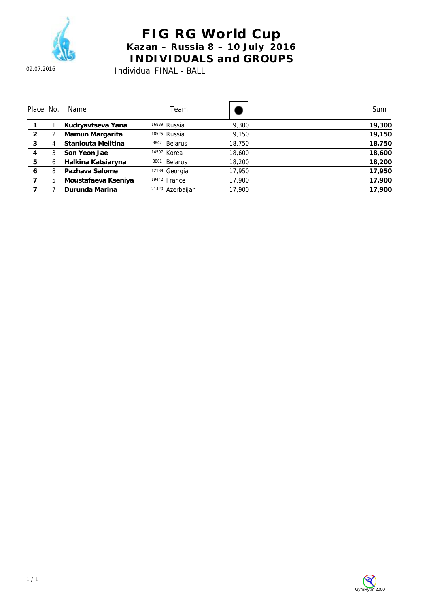

# **FIG RG World Cup Kazan – Russia 8 – 10 July 2016 INDIVIDUALS and GROUPS**

Individual FINAL - BALL

| Place No.      |   | Name                | Team                        |        | Sum    |
|----------------|---|---------------------|-----------------------------|--------|--------|
|                |   | Kudryavtseva Yana   | <sup>16839</sup> Russia     | 19,300 | 19,300 |
| $\overline{2}$ |   | Mamun Margarita     | 18525 Russia                | 19,150 | 19,150 |
| 3              | 4 | Staniouta Melitina  | <b>Belarus</b><br>8842      | 18,750 | 18,750 |
| 4              |   | Son Yeon Jae        | 14507 Korea                 | 18,600 | 18,600 |
| 5              | 6 | Halkina Katsiaryna  | 8861<br><b>Belarus</b>      | 18,200 | 18,200 |
| 6              | 8 | Pazhava Salome      | 12189 Georgia               | 17,950 | 17,950 |
|                | 5 | Moustafaeva Kseniya | <sup>19442</sup> France     | 17,900 | 17,900 |
|                |   | Durunda Marina      | <sup>21420</sup> Azerbaijan | 17,900 | 17.900 |

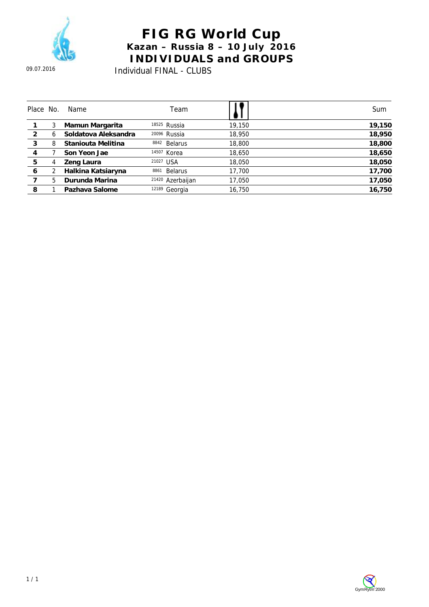

#### **FIG RG World Cup Kazan – Russia 8 – 10 July 2016 INDIVIDUALS and GROUPS**  Individual FINAL - CLUBS

| Place No. |   | Name                 | Team                    |        | Sum    |
|-----------|---|----------------------|-------------------------|--------|--------|
|           |   | Mamun Margarita      | 18525 Russia            | 19,150 | 19,150 |
| 2         | h | Soldatova Aleksandra | <sup>20096</sup> Russia | 18,950 | 18,950 |
| 3         | 8 | Staniouta Melitina   | <b>Belarus</b><br>8842  | 18,800 | 18,800 |
| 4         |   | Son Yeon Jae         | 14507 Korea             | 18,650 | 18,650 |
| 5         | 4 | Zeng Laura           | 21027 USA               | 18,050 | 18,050 |
| 6         |   | Halkina Katsiaryna   | <b>Belarus</b><br>8861  | 17,700 | 17,700 |
|           | 5 | Durunda Marina       | 21420<br>Azerbaijan     | 17,050 | 17,050 |
| 8         |   | Pazhava Salome       | 12189<br>Georgia        | 16.750 | 16,750 |